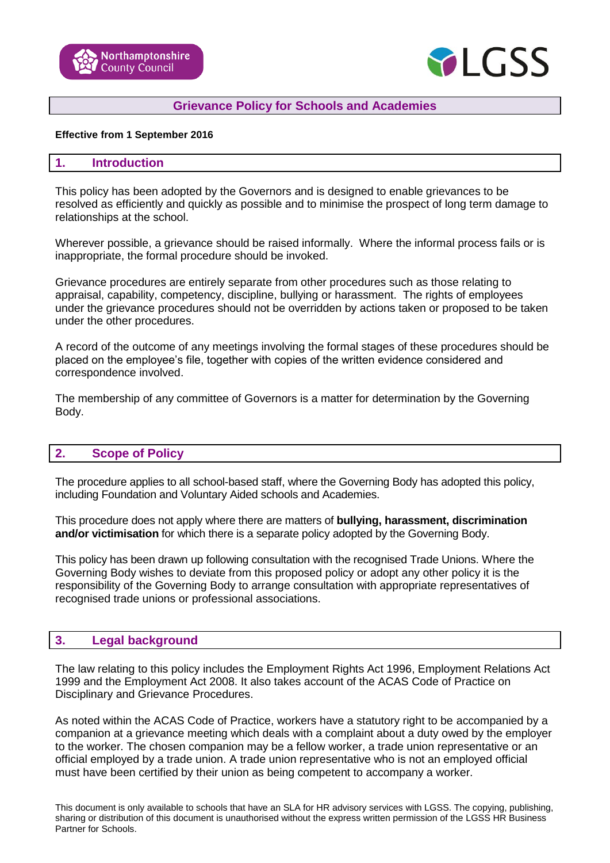



### **Grievance Policy for Schools and Academies**

#### **Effective from 1 September 2016**

### **1. Introduction**

This policy has been adopted by the Governors and is designed to enable grievances to be resolved as efficiently and quickly as possible and to minimise the prospect of long term damage to relationships at the school.

Wherever possible, a grievance should be raised informally. Where the informal process fails or is inappropriate, the formal procedure should be invoked.

Grievance procedures are entirely separate from other procedures such as those relating to appraisal, capability, competency, discipline, bullying or harassment. The rights of employees under the grievance procedures should not be overridden by actions taken or proposed to be taken under the other procedures.

A record of the outcome of any meetings involving the formal stages of these procedures should be placed on the employee's file, together with copies of the written evidence considered and correspondence involved.

The membership of any committee of Governors is a matter for determination by the Governing Body.

#### **2. Scope of Policy**

The procedure applies to all school-based staff, where the Governing Body has adopted this policy, including Foundation and Voluntary Aided schools and Academies.

This procedure does not apply where there are matters of **bullying, harassment, discrimination and/or victimisation** for which there is a separate policy adopted by the Governing Body.

This policy has been drawn up following consultation with the recognised Trade Unions. Where the Governing Body wishes to deviate from this proposed policy or adopt any other policy it is the responsibility of the Governing Body to arrange consultation with appropriate representatives of recognised trade unions or professional associations.

#### **3. Legal background**

The law relating to this policy includes the Employment Rights Act 1996, Employment Relations Act 1999 and the Employment Act 2008. It also takes account of the ACAS Code of Practice on Disciplinary and Grievance Procedures.

As noted within the ACAS Code of Practice, workers have a statutory right to be accompanied by a companion at a grievance meeting which deals with a complaint about a duty owed by the employer to the worker. The chosen companion may be a fellow worker, a trade union representative or an official employed by a trade union. A trade union representative who is not an employed official must have been certified by their union as being competent to accompany a worker.

This document is only available to schools that have an SLA for HR advisory services with LGSS. The copying, publishing, sharing or distribution of this document is unauthorised without the express written permission of the LGSS HR Business Partner for Schools.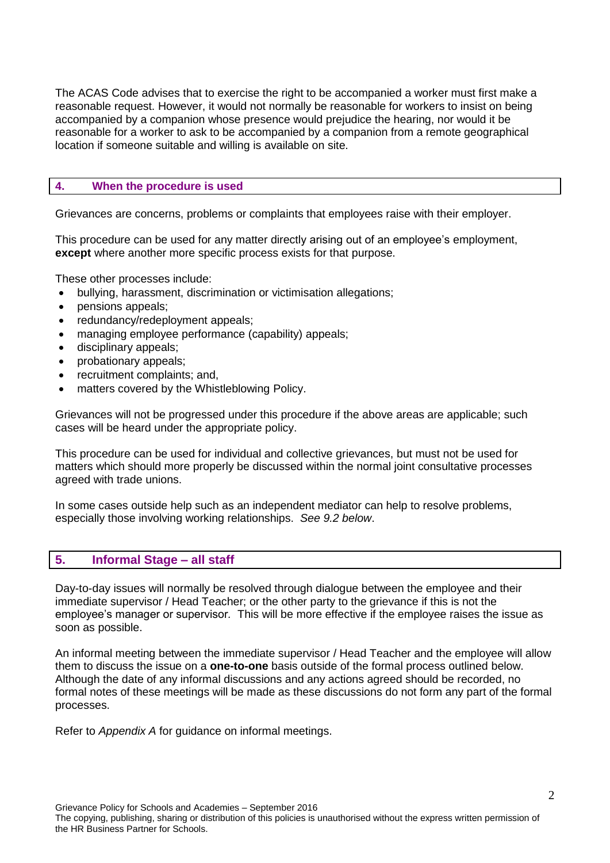The ACAS Code advises that to exercise the right to be accompanied a worker must first make a reasonable request. However, it would not normally be reasonable for workers to insist on being accompanied by a companion whose presence would prejudice the hearing, nor would it be reasonable for a worker to ask to be accompanied by a companion from a remote geographical location if someone suitable and willing is available on site.

### **4. When the procedure is used**

Grievances are concerns, problems or complaints that employees raise with their employer.

This procedure can be used for any matter directly arising out of an employee's employment, **except** where another more specific process exists for that purpose.

These other processes include:

- bullying, harassment, discrimination or victimisation allegations;
- pensions appeals;
- redundancy/redeployment appeals;
- managing employee performance (capability) appeals;
- disciplinary appeals;
- probationary appeals;
- recruitment complaints; and,
- matters covered by the Whistleblowing Policy.

Grievances will not be progressed under this procedure if the above areas are applicable; such cases will be heard under the appropriate policy.

This procedure can be used for individual and collective grievances, but must not be used for matters which should more properly be discussed within the normal joint consultative processes agreed with trade unions.

In some cases outside help such as an independent mediator can help to resolve problems, especially those involving working relationships. *See 9.2 below*.

### **5. Informal Stage – all staff**

Day-to-day issues will normally be resolved through dialogue between the employee and their immediate supervisor / Head Teacher; or the other party to the grievance if this is not the employee's manager or supervisor*.* This will be more effective if the employee raises the issue as soon as possible.

An informal meeting between the immediate supervisor / Head Teacher and the employee will allow them to discuss the issue on a **one-to-one** basis outside of the formal process outlined below. Although the date of any informal discussions and any actions agreed should be recorded, no formal notes of these meetings will be made as these discussions do not form any part of the formal processes.

Refer to *Appendix A* for guidance on informal meetings.

Grievance Policy for Schools and Academies – September 2016

The copying, publishing, sharing or distribution of this policies is unauthorised without the express written permission of the HR Business Partner for Schools.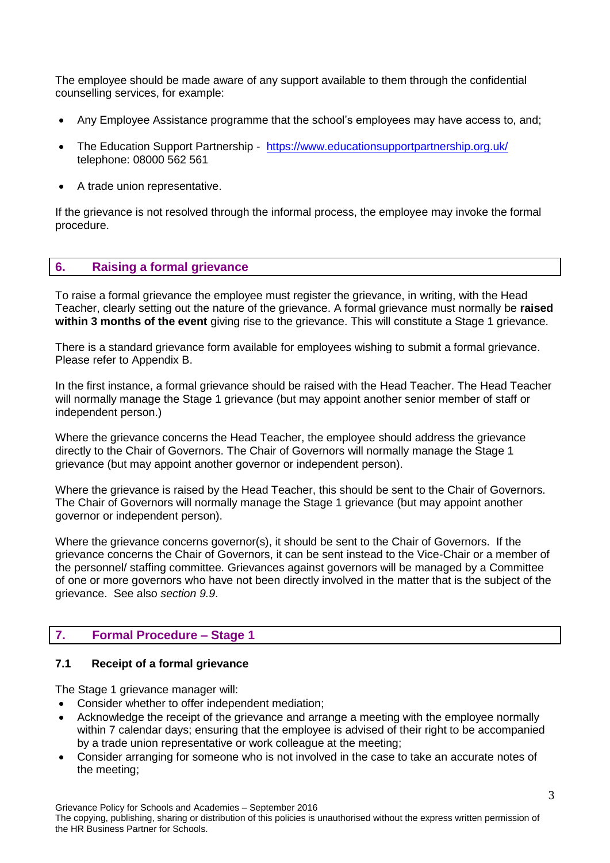The employee should be made aware of any support available to them through the confidential counselling services, for example:

- Any Employee Assistance programme that the school's employees may have access to, and;
- The Education Support Partnership <https://www.educationsupportpartnership.org.uk/> telephone: 08000 562 561
- A trade union representative.

If the grievance is not resolved through the informal process, the employee may invoke the formal procedure.

### **6. Raising a formal grievance**

To raise a formal grievance the employee must register the grievance, in writing, with the Head Teacher, clearly setting out the nature of the grievance. A formal grievance must normally be **raised within 3 months of the event** giving rise to the grievance. This will constitute a Stage 1 grievance.

There is a standard grievance form available for employees wishing to submit a formal grievance. Please refer to Appendix B.

In the first instance, a formal grievance should be raised with the Head Teacher. The Head Teacher will normally manage the Stage 1 grievance (but may appoint another senior member of staff or independent person.)

Where the grievance concerns the Head Teacher, the employee should address the grievance directly to the Chair of Governors. The Chair of Governors will normally manage the Stage 1 grievance (but may appoint another governor or independent person).

Where the grievance is raised by the Head Teacher, this should be sent to the Chair of Governors. The Chair of Governors will normally manage the Stage 1 grievance (but may appoint another governor or independent person).

Where the grievance concerns governor(s), it should be sent to the Chair of Governors. If the grievance concerns the Chair of Governors, it can be sent instead to the Vice-Chair or a member of the personnel/ staffing committee. Grievances against governors will be managed by a Committee of one or more governors who have not been directly involved in the matter that is the subject of the grievance. See also *section 9.9*.

## **7. Formal Procedure – Stage 1**

### **7.1 Receipt of a formal grievance**

The Stage 1 grievance manager will:

- Consider whether to offer independent mediation;
- Acknowledge the receipt of the grievance and arrange a meeting with the employee normally within 7 calendar days; ensuring that the employee is advised of their right to be accompanied by a trade union representative or work colleague at the meeting;
- Consider arranging for someone who is not involved in the case to take an accurate notes of the meeting;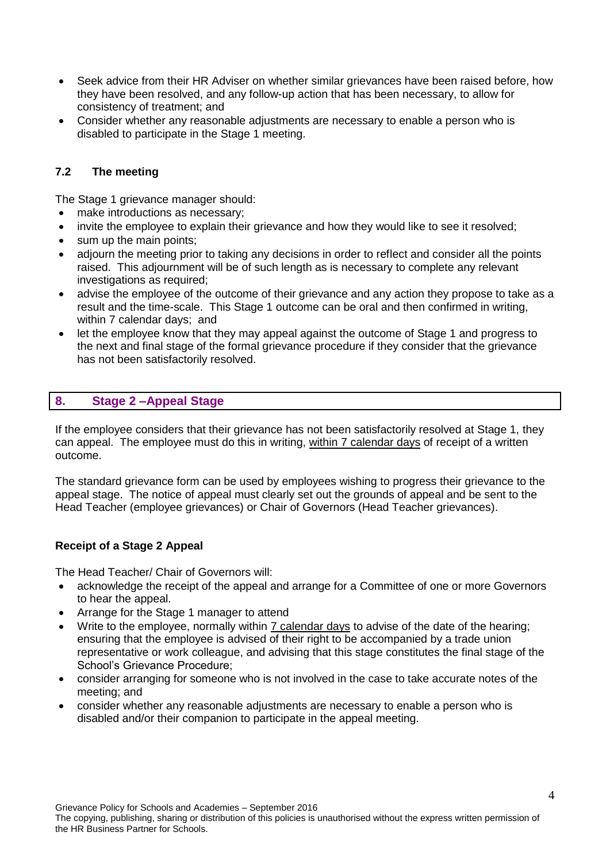- Seek advice from their HR Adviser on whether similar grievances have been raised before, how they have been resolved, and any follow-up action that has been necessary, to allow for consistency of treatment; and
- Consider whether any reasonable adjustments are necessary to enable a person who is disabled to participate in the Stage 1 meeting.

### **7.2 The meeting**

The Stage 1 grievance manager should:

- make introductions as necessary;
- invite the employee to explain their grievance and how they would like to see it resolved;
- sum up the main points;
- adjourn the meeting prior to taking any decisions in order to reflect and consider all the points raised. This adjournment will be of such length as is necessary to complete any relevant investigations as required;
- advise the employee of the outcome of their grievance and any action they propose to take as a result and the time-scale. This Stage 1 outcome can be oral and then confirmed in writing, within 7 calendar days; and
- let the employee know that they may appeal against the outcome of Stage 1 and progress to the next and final stage of the formal grievance procedure if they consider that the grievance has not been satisfactorily resolved.

### **8. Stage 2 –Appeal Stage**

If the employee considers that their grievance has not been satisfactorily resolved at Stage 1, they can appeal. The employee must do this in writing, within 7 calendar days of receipt of a written outcome.

The standard grievance form can be used by employees wishing to progress their grievance to the appeal stage. The notice of appeal must clearly set out the grounds of appeal and be sent to the Head Teacher (employee grievances) or Chair of Governors (Head Teacher grievances).

### **Receipt of a Stage 2 Appeal**

The Head Teacher/ Chair of Governors will:

- acknowledge the receipt of the appeal and arrange for a Committee of one or more Governors to hear the appeal.
- Arrange for the Stage 1 manager to attend
- Write to the employee, normally within 7 calendar days to advise of the date of the hearing; ensuring that the employee is advised of their right to be accompanied by a trade union representative or work colleague, and advising that this stage constitutes the final stage of the School's Grievance Procedure;
- consider arranging for someone who is not involved in the case to take accurate notes of the meeting; and
- consider whether any reasonable adjustments are necessary to enable a person who is disabled and/or their companion to participate in the appeal meeting.

Grievance Policy for Schools and Academies – September 2016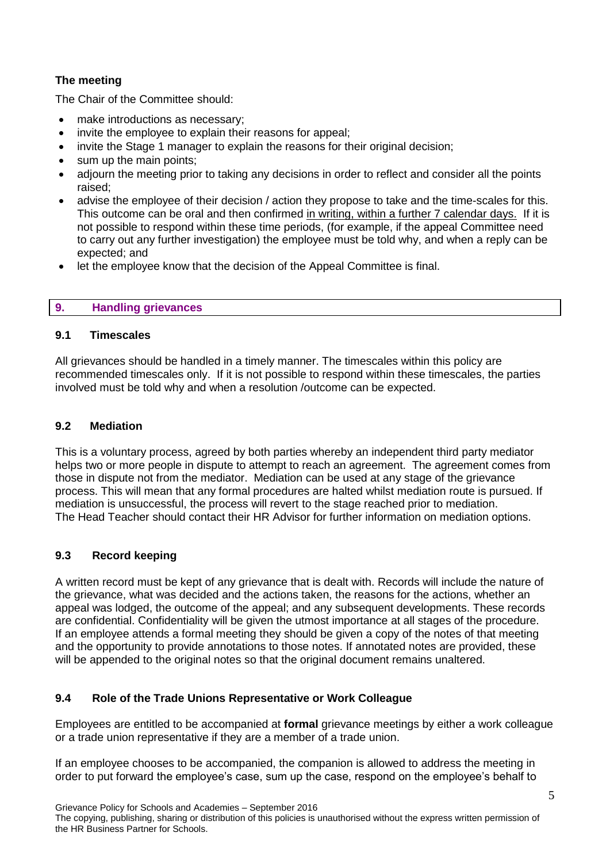# **The meeting**

The Chair of the Committee should:

- make introductions as necessary;
- invite the employee to explain their reasons for appeal;
- invite the Stage 1 manager to explain the reasons for their original decision;
- sum up the main points;
- adjourn the meeting prior to taking any decisions in order to reflect and consider all the points raised;
- advise the employee of their decision / action they propose to take and the time-scales for this. This outcome can be oral and then confirmed in writing, within a further 7 calendar days. If it is not possible to respond within these time periods, (for example, if the appeal Committee need to carry out any further investigation) the employee must be told why, and when a reply can be expected; and
- let the employee know that the decision of the Appeal Committee is final.

### **9. Handling grievances**

### **9.1 Timescales**

All grievances should be handled in a timely manner. The timescales within this policy are recommended timescales only. If it is not possible to respond within these timescales, the parties involved must be told why and when a resolution /outcome can be expected.

### **9.2 Mediation**

This is a voluntary process, agreed by both parties whereby an independent third party mediator helps two or more people in dispute to attempt to reach an agreement. The agreement comes from those in dispute not from the mediator. Mediation can be used at any stage of the grievance process. This will mean that any formal procedures are halted whilst mediation route is pursued. If mediation is unsuccessful, the process will revert to the stage reached prior to mediation. The Head Teacher should contact their HR Advisor for further information on mediation options.

## **9.3 Record keeping**

A written record must be kept of any grievance that is dealt with. Records will include the nature of the grievance, what was decided and the actions taken, the reasons for the actions, whether an appeal was lodged, the outcome of the appeal; and any subsequent developments. These records are confidential. Confidentiality will be given the utmost importance at all stages of the procedure. If an employee attends a formal meeting they should be given a copy of the notes of that meeting and the opportunity to provide annotations to those notes. If annotated notes are provided, these will be appended to the original notes so that the original document remains unaltered.

## **9.4 Role of the Trade Unions Representative or Work Colleague**

Employees are entitled to be accompanied at **formal** grievance meetings by either a work colleague or a trade union representative if they are a member of a trade union.

If an employee chooses to be accompanied, the companion is allowed to address the meeting in order to put forward the employee's case, sum up the case, respond on the employee's behalf to

Grievance Policy for Schools and Academies – September 2016 The copying, publishing, sharing or distribution of this policies is unauthorised without the express written permission of the HR Business Partner for Schools.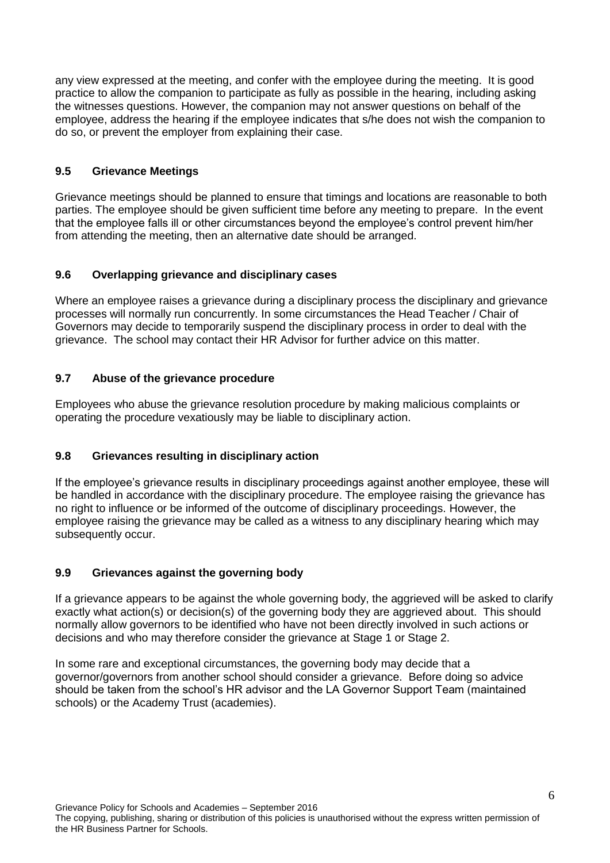any view expressed at the meeting, and confer with the employee during the meeting. It is good practice to allow the companion to participate as fully as possible in the hearing, including asking the witnesses questions. However, the companion may not answer questions on behalf of the employee, address the hearing if the employee indicates that s/he does not wish the companion to do so, or prevent the employer from explaining their case.

## **9.5 Grievance Meetings**

Grievance meetings should be planned to ensure that timings and locations are reasonable to both parties. The employee should be given sufficient time before any meeting to prepare. In the event that the employee falls ill or other circumstances beyond the employee's control prevent him/her from attending the meeting, then an alternative date should be arranged.

## **9.6 Overlapping grievance and disciplinary cases**

Where an employee raises a grievance during a disciplinary process the disciplinary and grievance processes will normally run concurrently. In some circumstances the Head Teacher / Chair of Governors may decide to temporarily suspend the disciplinary process in order to deal with the grievance. The school may contact their HR Advisor for further advice on this matter.

# **9.7 Abuse of the grievance procedure**

Employees who abuse the grievance resolution procedure by making malicious complaints or operating the procedure vexatiously may be liable to disciplinary action.

# **9.8 Grievances resulting in disciplinary action**

If the employee's grievance results in disciplinary proceedings against another employee, these will be handled in accordance with the disciplinary procedure. The employee raising the grievance has no right to influence or be informed of the outcome of disciplinary proceedings. However, the employee raising the grievance may be called as a witness to any disciplinary hearing which may subsequently occur.

## **9.9 Grievances against the governing body**

If a grievance appears to be against the whole governing body, the aggrieved will be asked to clarify exactly what action(s) or decision(s) of the governing body they are aggrieved about. This should normally allow governors to be identified who have not been directly involved in such actions or decisions and who may therefore consider the grievance at Stage 1 or Stage 2.

In some rare and exceptional circumstances, the governing body may decide that a governor/governors from another school should consider a grievance. Before doing so advice should be taken from the school's HR advisor and the LA Governor Support Team (maintained schools) or the Academy Trust (academies).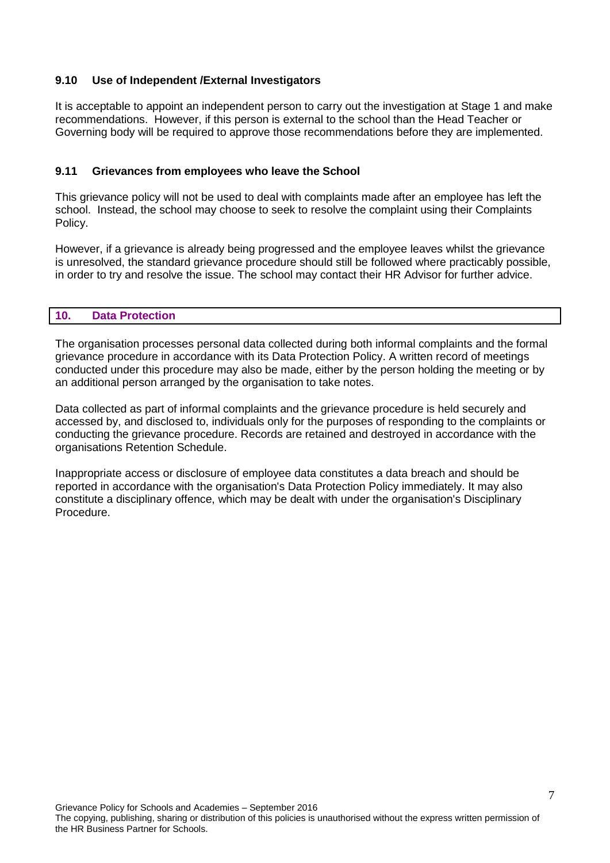### **9.10 Use of Independent /External Investigators**

It is acceptable to appoint an independent person to carry out the investigation at Stage 1 and make recommendations. However, if this person is external to the school than the Head Teacher or Governing body will be required to approve those recommendations before they are implemented.

### **9.11 Grievances from employees who leave the School**

This grievance policy will not be used to deal with complaints made after an employee has left the school. Instead, the school may choose to seek to resolve the complaint using their Complaints Policy.

However, if a grievance is already being progressed and the employee leaves whilst the grievance is unresolved, the standard grievance procedure should still be followed where practicably possible, in order to try and resolve the issue. The school may contact their HR Advisor for further advice.

### **10. Data Protection**

The organisation processes personal data collected during both informal complaints and the formal grievance procedure in accordance with its Data Protection Policy. A written record of meetings conducted under this procedure may also be made, either by the person holding the meeting or by an additional person arranged by the organisation to take notes.

Data collected as part of informal complaints and the grievance procedure is held securely and accessed by, and disclosed to, individuals only for the purposes of responding to the complaints or conducting the grievance procedure. Records are retained and destroyed in accordance with the organisations Retention Schedule.

Inappropriate access or disclosure of employee data constitutes a data breach and should be reported in accordance with the organisation's Data Protection Policy immediately. It may also constitute a disciplinary offence, which may be dealt with under the organisation's Disciplinary Procedure.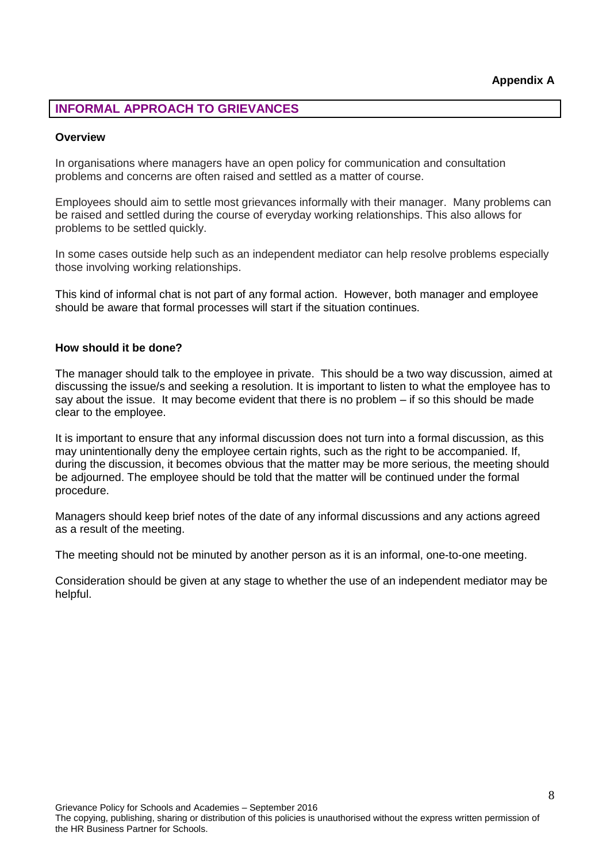# **INFORMAL APPROACH TO GRIEVANCES**

#### **Overview**

In organisations where managers have an open policy for communication and consultation problems and concerns are often raised and settled as a matter of course.

Employees should aim to settle most grievances informally with their manager. Many problems can be raised and settled during the course of everyday working relationships. This also allows for problems to be settled quickly.

In some cases outside help such as an independent mediator can help resolve problems especially those involving working relationships.

This kind of informal chat is not part of any formal action. However, both manager and employee should be aware that formal processes will start if the situation continues.

#### **How should it be done?**

The manager should talk to the employee in private. This should be a two way discussion, aimed at discussing the issue/s and seeking a resolution. It is important to listen to what the employee has to say about the issue. It may become evident that there is no problem – if so this should be made clear to the employee.

It is important to ensure that any informal discussion does not turn into a formal discussion, as this may unintentionally deny the employee certain rights, such as the right to be accompanied. If, during the discussion, it becomes obvious that the matter may be more serious, the meeting should be adjourned. The employee should be told that the matter will be continued under the formal procedure.

Managers should keep brief notes of the date of any informal discussions and any actions agreed as a result of the meeting.

The meeting should not be minuted by another person as it is an informal, one-to-one meeting.

Consideration should be given at any stage to whether the use of an independent mediator may be helpful.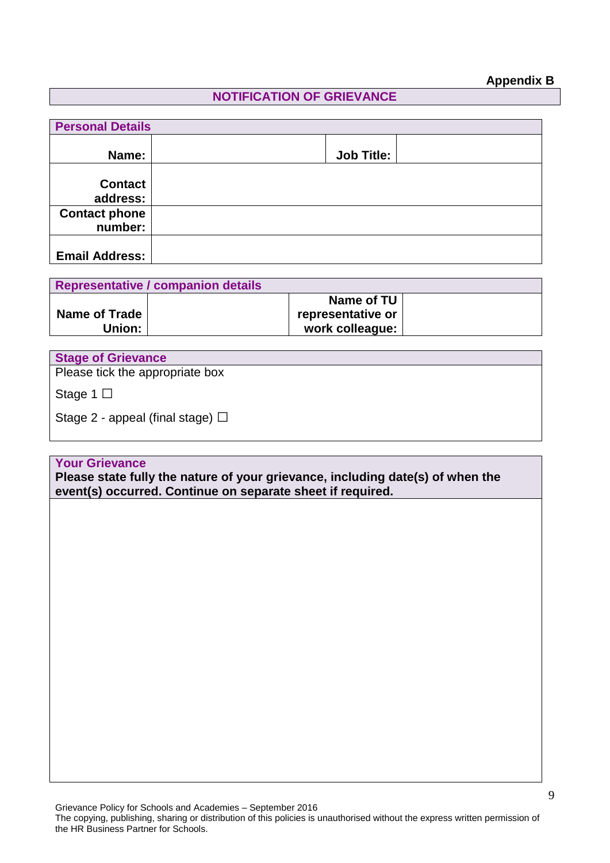# **Appendix B**

# **NOTIFICATION OF GRIEVANCE**

| <b>Personal Details</b>         |  |                   |  |  |  |
|---------------------------------|--|-------------------|--|--|--|
| Name:                           |  | <b>Job Title:</b> |  |  |  |
| <b>Contact</b><br>address:      |  |                   |  |  |  |
| <b>Contact phone</b><br>number: |  |                   |  |  |  |
| <b>Email Address:</b>           |  |                   |  |  |  |

| Representative / companion details |  |                   |  |  |
|------------------------------------|--|-------------------|--|--|
|                                    |  | Name of TU        |  |  |
| <b>Name of Trade</b>               |  | representative or |  |  |
| Union:                             |  | work colleague:   |  |  |

| <b>Stage of Grievance</b>             |
|---------------------------------------|
| Please tick the appropriate box       |
| Stage 1 $\Box$                        |
| Stage 2 - appeal (final stage) $\Box$ |
|                                       |

## **Your Grievance**

**Please state fully the nature of your grievance, including date(s) of when the event(s) occurred. Continue on separate sheet if required.**

Grievance Policy for Schools and Academies – September 2016

The copying, publishing, sharing or distribution of this policies is unauthorised without the express written permission of the HR Business Partner for Schools.